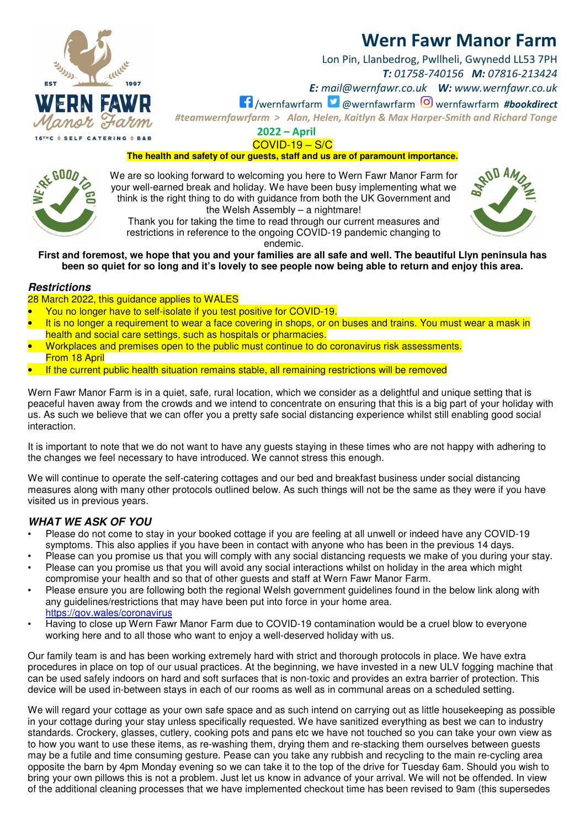

Lon Pin, Llanbedrog, Pwllheli, Gwynedd LL53 7PH *T: 01758-740156 M: 07816-213424* 

*E: mail@wernfawr.co.uk W: www.wernfawr.co.uk* 

/wernfawrfarm @wernfawrfarm wernfawrfarm *#bookdirect*

*#teamwernfawrfarm > Alan, Helen, Kaitlyn & Max Harper-Smith and Richard Tonge* 

**2022 – April**  COVID-19 – S/C

**The health and safety of our guests, staff and us are of paramount importance.** 

We are so looking forward to welcoming you here to Wern Fawr Manor Farm for your well-earned break and holiday. We have been busy implementing what we think is the right thing to do with guidance from both the UK Government and the Welsh Assembly – a nightmare!

Thank you for taking the time to read through our current measures and restrictions in reference to the ongoing COVID-19 pandemic changing to endemic.

**First and foremost, we hope that you and your families are all safe and well. The beautiful Llyn peninsula has been so quiet for so long and it's lovely to see people now being able to return and enjoy this area.** 

#### **Restrictions**

28 March 2022, this guidance applies to WALES

- You no longer have to self-isolate if you test positive for COVID-19.
- It is no longer a requirement to wear a face covering in shops, or on buses and trains. You must wear a mask in health and social care settings, such as hospitals or pharmacies.
- Workplaces and premises open to the public must continue to do coronavirus risk assessments. From 18 April
- If the current public health situation remains stable, all remaining restrictions will be removed

Wern Fawr Manor Farm is in a quiet, safe, rural location, which we consider as a delightful and unique setting that is peaceful haven away from the crowds and we intend to concentrate on ensuring that this is a big part of your holiday with us. As such we believe that we can offer you a pretty safe social distancing experience whilst still enabling good social interaction.

It is important to note that we do not want to have any guests staying in these times who are not happy with adhering to the changes we feel necessary to have introduced. We cannot stress this enough.

We will continue to operate the self-catering cottages and our bed and breakfast business under social distancing measures along with many other protocols outlined below. As such things will not be the same as they were if you have visited us in previous years.

#### **WHAT WE ASK OF YOU**

- Please do not come to stay in your booked cottage if you are feeling at all unwell or indeed have any COVID-19 symptoms. This also applies if you have been in contact with anyone who has been in the previous 14 days.
- Please can you promise us that you will comply with any social distancing requests we make of you during your stay.
- Please can you promise us that you will avoid any social interactions whilst on holiday in the area which might compromise your health and so that of other guests and staff at Wern Fawr Manor Farm.
- Please ensure you are following both the regional Welsh government guidelines found in the below link along with any guidelines/restrictions that may have been put into force in your home area. https://gov.wales/coronavirus
- Having to close up Wern Fawr Manor Farm due to COVID-19 contamination would be a cruel blow to everyone working here and to all those who want to enjoy a well-deserved holiday with us.

Our family team is and has been working extremely hard with strict and thorough protocols in place. We have extra procedures in place on top of our usual practices. At the beginning, we have invested in a new ULV fogging machine that can be used safely indoors on hard and soft surfaces that is non-toxic and provides an extra barrier of protection. This device will be used in-between stays in each of our rooms as well as in communal areas on a scheduled setting.

We will regard your cottage as your own safe space and as such intend on carrying out as little housekeeping as possible in your cottage during your stay unless specifically requested. We have sanitized everything as best we can to industry standards. Crockery, glasses, cutlery, cooking pots and pans etc we have not touched so you can take your own view as to how you want to use these items, as re-washing them, drying them and re-stacking them ourselves between guests may be a futile and time consuming gesture. Pease can you take any rubbish and recycling to the main re-cycling area opposite the barn by 4pm Monday evening so we can take it to the top of the drive for Tuesday 6am. Should you wish to bring your own pillows this is not a problem. Just let us know in advance of your arrival. We will not be offended. In view of the additional cleaning processes that we have implemented checkout time has been revised to 9am (this supersedes





**16THC & SELF CATERING &**